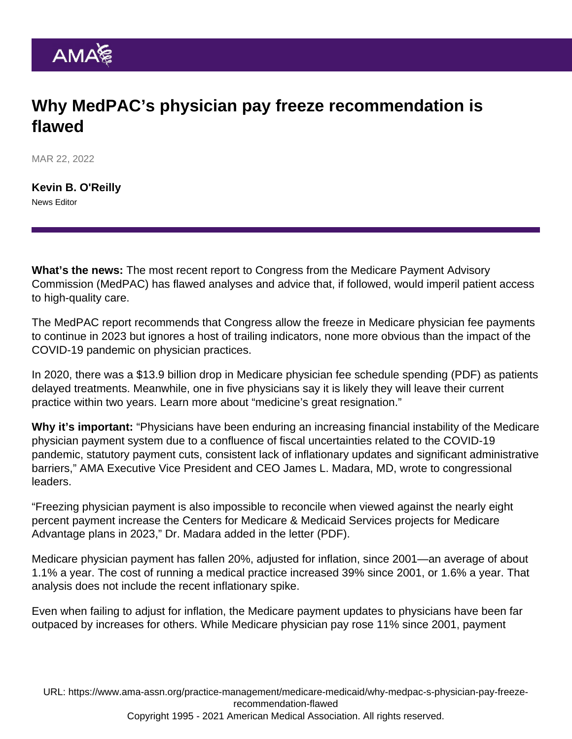## Why MedPAC's physician pay freeze recommendation is flawed

MAR 22, 2022

[Kevin B. O'Reilly](https://www.ama-assn.org/news-leadership-viewpoints/authors-news-leadership-viewpoints/kevin-b-oreilly) News Editor

What's the news: The most recent report to Congress from the Medicare Payment Advisory Commission (MedPAC) has flawed analyses and advice that, if followed, would imperil patient access to high-quality care.

The MedPAC report recommends that Congress allow the freeze in Medicare physician fee payments to continue in 2023 but ignores a host of trailing indicators, none more obvious than the impact of the COVID-19 pandemic on physician practices.

In 2020, there was a \$13.9 billion drop in [Medicare physician fee schedule spending](https://www.ama-assn.org/system/files/2020-prp-covid-impact-medicare-physician-spending.pdf) (PDF) as patients delayed treatments. Meanwhile, one in five physicians say it is likely they will leave their current practice within two years. Learn more about ["medicine's great resignation.](https://www.ama-assn.org/practice-management/physician-health/medicine-s-great-resignation-1-5-doctors-plan-exit-2-years)"

Why it's important: "Physicians have been enduring an increasing financial instability of the Medicare physician payment system due to a confluence of fiscal uncertainties related to the COVID-19 pandemic, statutory payment cuts, consistent lack of inflationary updates and significant administrative barriers," AMA Executive Vice President and CEO [James L. Madara, MD](https://www.ama-assn.org/news-leadership-viewpoints/authors-news-leadership-viewpoints/james-l-madara-md), wrote to congressional leaders.

"Freezing physician payment is also impossible to reconcile when viewed against the nearly eight percent payment increase the Centers for Medicare & Medicaid Services projects for Medicare Advantage plans in 2023," [Dr. Madara added in the letter](https://searchlf.ama-assn.org/letter/documentDownload?uri=/unstructured/binary/letter/LETTERS/2022-3-15-Letter-to-Congressional-Leadership-re-MedPAC-v5.pdf) (PDF).

Medicare physician payment has fallen 20%, adjusted for inflation, since 2001—an average of about 1.1% a year. The cost of running a medical practice increased 39% since 2001, or 1.6% a year. That analysis does not include the recent inflationary spike.

Even when failing to adjust for inflation, the Medicare payment updates to physicians have been far outpaced by increases for others. While Medicare physician pay rose 11% since 2001, payment

URL: [https://www.ama-assn.org/practice-management/medicare-medicaid/why-medpac-s-physician-pay-freeze](https://www.ama-assn.org/practice-management/medicare-medicaid/why-medpac-s-physician-pay-freeze-recommendation-flawed)[recommendation-flawed](https://www.ama-assn.org/practice-management/medicare-medicaid/why-medpac-s-physician-pay-freeze-recommendation-flawed) Copyright 1995 - 2021 American Medical Association. All rights reserved.